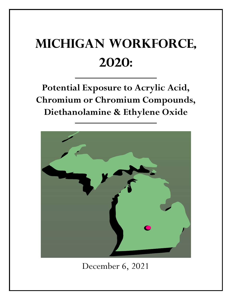## **Michigan Workforce, 2020:**

**Potential Exposure to Acrylic Acid, Chromium or Chromium Compounds, Diethanolamine & Ethylene Oxide**



December 6, 2021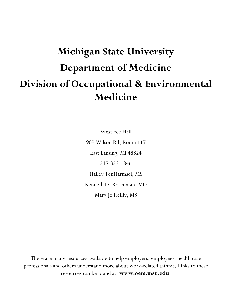## **Michigan State University Department of Medicine Division of Occupational & Environmental Medicine**

West Fee Hall 909 Wilson Rd, Room 117 East Lansing, MI 48824 517-353-1846 Hailey TenHarmsel, MS Kenneth D. Rosenman, MD Mary Jo Reilly, MS

There are many resources available to help employers, employees, health care professionals and others understand more about work-related asthma. Links to these resources can be found at: **www.oem.msu.edu**.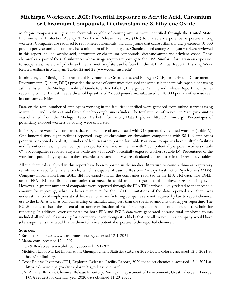## **Michigan Workforce, 2020: Potential Exposure to Acrylic Acid, Chromium or Chromium Compounds, Diethanolamine & Ethylene Oxide**

Michigan companies using select chemicals capable of causing asthma were identified through the United States Environmental Protection Agency (EPA) Toxic Release Inventory (TRI) to characterize potential exposure among workers. Companies are required to report select chemicals, including some that cause asthma, if usage exceeds 10,000 pounds per year and the company has a minimum of 10 employees. Chemical used among Michigan workers reviewed in this report include: acrylic acid, chromium or chromium compounds, diethanolamine and ethylene oxide. These chemicals are part of the 650 substances whose usage requires reporting to the EPA. Similar information on exposures to isocyanates, maleic anhydride and methyl methacrylate can be found in the 2019 Annual Report: Tracking Work Related Asthma in Michigan, Tables 22 and 23 (www.oem.msu.edu).

In addition, the Michigan Department of Environment, Great Lakes, and Energy (EGLE, formerly the Department of Environmental Quality, DEQ) provided the names of companies that used the same select chemicals capable of causing asthma, listed in the Michigan Facilities' Guide to SARA Title III, Emergency Planning and Release Report. Companies reporting to EGLE must meet a threshold quantity of 25,000 pounds manufactured or 10,000 pounds otherwise used in company activities.

Data on the total number of employees working in the facilities identified were gathered from online searches using Manta, Dun and Bradstreet, and CareerOneStop.org business finder. The total number of workers in Michigan counties was obtained from the Michigan Labor Market Information, Data Explorer (http://milmi.org). Percentages of potentially exposed workers by county were calculated.

In 2020, there were five companies that reported use of acrylic acid with 713 potentially exposed workers (Table A). One hundred sixty-eight facilities reported usage of chromium or chromium compounds with 58,146 employees potentially exposed (Table B). Number of facilities are reported for Table B as some companies have multiple facilities in different counties. Eighteen companies reported diethanolamine use with 2,582 potentially exposed workers (Table C). Six companies reported ethylene oxide use with 2,627 potentially exposed workers (Table D). Percentages of the workforce potentially exposed to these chemicals in each county were calculated and are listed in their respective tables.

All the chemicals analyzed in this report have been reported in the medical literature to cause asthma as respiratory sensitizers except for ethylene oxide, which is capable of causing Reactive Airways Dysfunction Syndrome (RADS). Company information from EGLE did not exactly match the companies reported in the EPA TRI data. The EGLE, unlike EPA TRI data, lists all companies that meet threshold amounts regardless of employee size or facility type. However, a greater number of companies were reported through the EPA TRI database, likely related to the threshold amount for reporting, which is lower than that for the EGLE. Limitations of the data reported are: there was underestimation of employees at risk because non-manufacturing companies are not required by law to report chemical use to the EPA, as well as companies using or manufacturing less than the specified amounts that trigger reporting. The EGLE data also share the potential for under-estimation of risk for companies that do not meet the threshold for reporting. In addition, over-estimates for both EPA and EGLE data were generated because total employee counts included all individuals working for a company, even though it is likely that not all workers in a company would have jobs assignments that would cause them to have a potential exposure to the reported chemical.

## **Sources:**

- ¨ Business Finder at: www.careeronestop.org, accessed 12-1-2021.
- ¨ Manta.com, accessed 12-1-2021.
- ¨ Dun & Bradstreet www.dnb.com, accessed 12-1-2021
- ¨ Michigan Labor Market Information, Unemployment Statistics (LAUS): 2020 Data Explorer, accessed 12-1-2021 at: http://milmi.org.
- ¨ Toxic Release Inventory (TRI) Explorer, Releases: Facility Report, 2020 for select chemicals, accessed 12-1-2021 at: https://enviro.epa.gov/triexplorer/tri\_release.chemical.
- ¨ SARA Title III-Toxic Chemical Release Inventory. Michigan Department of Environment, Great Lakes, and Energy, FOIA request for calendar year 2020 data obtained 11-29-2021.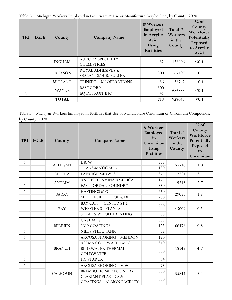|  |  | Table A—Michigan Workers Employed in Facilities that Use or Manufacture Acrylic Acid, by County: 2020 |  |  |  |
|--|--|-------------------------------------------------------------------------------------------------------|--|--|--|
|--|--|-------------------------------------------------------------------------------------------------------|--|--|--|

| <b>TRI</b> | <b>EGLE</b> | County         | <b>Company Name</b>                                  | # Workers<br>Employed<br>in Acrylic<br>Acid<br>Using<br><b>Facilities</b> | Total #<br>Workers<br>in the<br>County | $%$ of<br>County<br>Workforce<br>Potentially<br><b>Exposed</b><br>to Acrylic<br>Acid |
|------------|-------------|----------------|------------------------------------------------------|---------------------------------------------------------------------------|----------------------------------------|--------------------------------------------------------------------------------------|
|            |             | <b>INGHAM</b>  | <b>AURORA SPECIALTY</b><br><b>CHEMISTRIES</b>        | 32                                                                        | 136006                                 | < 0.1                                                                                |
|            |             | <b>JACKSON</b> | <b>ROYAL ADHESIVES &amp;</b><br>SEALANTS/H.B. FULLER | 300                                                                       | 67407                                  | 0.4                                                                                  |
|            |             | <b>MIDLAND</b> | TRINSEO - MI OPERATIONS                              | 36                                                                        | 36742                                  | 0.1                                                                                  |
|            |             | <b>WAYNE</b>   | <b>BASF CORP</b>                                     | 300                                                                       | 686888                                 | < 0.1                                                                                |
|            |             |                | EQ DETROIT INC                                       | 45                                                                        |                                        |                                                                                      |
|            |             | <b>TOTAL</b>   |                                                      | 713                                                                       | 927043                                 | $0.1$                                                                                |

Table B—Michigan Workers Employed in Facilities that Use or Manufacture Chromium or Chromium Compounds, by County: 2020

| <b>TRI</b>   | <b>EGLE</b> | County         | <b>Company Name</b>                                                 | # Workers<br>Employed<br>in<br>Chromium<br>Using<br><b>Facilities</b> | Total #<br>Workers<br>in the<br>County | $%$ of<br>County<br>Workforce<br>Potentially<br><b>Exposed</b><br>to<br>Chromium |
|--------------|-------------|----------------|---------------------------------------------------------------------|-----------------------------------------------------------------------|----------------------------------------|----------------------------------------------------------------------------------|
| 1            |             | <b>ALLEGAN</b> | L & W                                                               | 375                                                                   | 57710                                  | 1.0                                                                              |
| $\mathbf{1}$ |             |                | <b>TRANS-MATIC MFG</b>                                              | 180                                                                   |                                        |                                                                                  |
| $\mathbf{1}$ |             | <b>ALPENA</b>  | <b>LAFARGE MIDWEST</b>                                              | 375                                                                   | 12224                                  | 3.1                                                                              |
| $\mathbf{1}$ |             | <b>ANTRIM</b>  | ANCHOR LAMINA AMERICA                                               | 175                                                                   | 9213                                   | 5.7                                                                              |
| $\mathbf{1}$ |             |                | EAST JORDAN FOUNDRY                                                 | 350                                                                   |                                        |                                                                                  |
| $\mathbf{1}$ |             | <b>BARRY</b>   | <b>HASTINGS MFG</b>                                                 | 260                                                                   | 29033                                  | 1.8                                                                              |
| $\mathbf{1}$ |             |                | MIDDLEVILLE TOOL & DIE                                              | 260                                                                   |                                        |                                                                                  |
| 1            |             |                | <b>BAY CAST - CENTER ST &amp;</b>                                   | 200                                                                   |                                        |                                                                                  |
|              |             | <b>BAY</b>     | WEBSTER ST PLANTS                                                   |                                                                       | 45009                                  | 0.5                                                                              |
| $\mathbf{1}$ |             |                | STRAITS WOOD TREATING                                               | 30                                                                    |                                        |                                                                                  |
| $\mathbf{1}$ |             |                | <b>GAST MFG</b>                                                     | 367                                                                   |                                        |                                                                                  |
| $\mathbf{1}$ |             | <b>BERRIEN</b> | <b>NCP COATINGS</b>                                                 | 125                                                                   | 66476                                  | 0.8                                                                              |
| $\mathbf{1}$ |             |                | <b>NILES STEEL TANK</b>                                             | 35                                                                    |                                        |                                                                                  |
| 1            |             |                | <b>ARCOSA SHORING - MENDON</b>                                      | 150                                                                   |                                        |                                                                                  |
| $\mathbf{1}$ |             |                | <b>ASAMA COLDWATER MFG</b>                                          | 340                                                                   |                                        |                                                                                  |
| 1            |             | <b>BRANCH</b>  | <b>BLUEWATER THERMAL -</b>                                          | 300                                                                   | 18148                                  | 4.7                                                                              |
|              |             |                | <b>COLDWATER</b>                                                    |                                                                       |                                        |                                                                                  |
| $\mathbf{1}$ |             |                | <b>HC STARCK</b>                                                    | 64                                                                    |                                        |                                                                                  |
| $\mathbf{1}$ |             |                | <b>ARCOSA SHORING - M-60</b>                                        | 75                                                                    |                                        |                                                                                  |
| $\mathbf{1}$ |             | <b>CALHOUN</b> | <b>BREMBO HOMER FOUNDRY</b>                                         | 300                                                                   | 55844                                  | 3.2                                                                              |
| 1            |             |                | <b>CLARIANT PLASTICS &amp;</b><br><b>COATINGS - ALBION FACILITY</b> | 300                                                                   |                                        |                                                                                  |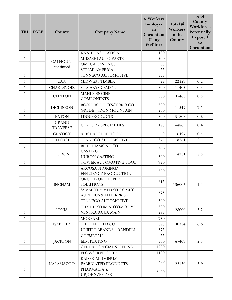| <b>TRI</b>   | <b>EGLE</b>  | County                          | <b>Company Name</b>                                       | # Workers<br>Employed<br>in<br>Chromium<br>Using<br><b>Facilities</b> | Total #<br>Workers<br>in the<br>County | $%$ of<br>County<br>Workforce<br>Potentially<br><b>Exposed</b><br>to<br>Chromium |
|--------------|--------------|---------------------------------|-----------------------------------------------------------|-----------------------------------------------------------------------|----------------------------------------|----------------------------------------------------------------------------------|
| 1            |              |                                 | <b>KNAUF INSULATION</b>                                   | 130                                                                   |                                        |                                                                                  |
| $\mathbf{1}$ |              | CALHOUN,                        | MUSASHI AUTO PARTS                                        | 500                                                                   |                                        |                                                                                  |
| $\mathbf{1}$ |              | continued                       | <b>OMEGA CASTINGS</b>                                     | 55                                                                    |                                        |                                                                                  |
| $\mathbf{1}$ |              |                                 | STELMI AMERICA                                            | 55                                                                    |                                        |                                                                                  |
| $\mathbf{1}$ |              |                                 | TENNECO AUTOMOTIVE                                        | 375                                                                   |                                        |                                                                                  |
| $\mathbf{1}$ |              | CASS                            | <b>MIDWEST TIMBER</b>                                     | 55                                                                    | 22327                                  | 0.2                                                                              |
| $\mathbf{1}$ |              | <b>CHARLEVOIX</b>               | <b>ST MARYS CEMENT</b>                                    | 300                                                                   | 11405                                  | 0.3                                                                              |
| 1            |              | <b>CLINTON</b>                  | <b>MAHLE ENGINE</b><br><b>COMPONENTS</b>                  | 300                                                                   | 37463                                  | 0.8                                                                              |
| 1            |              | <b>DICKINSON</b>                | <b>BOSS PRODUCTS/TORO CO</b>                              | 300                                                                   | 11347                                  | 7.1                                                                              |
| $\mathbf{1}$ |              |                                 | <b>GREDE - IRON MOUNTAIN</b>                              | 500                                                                   |                                        |                                                                                  |
| $\mathbf{1}$ |              | <b>EATON</b>                    | LINN PRODUCTS                                             | 300                                                                   | 51803                                  | 0.6                                                                              |
| 1            |              | <b>GRAND</b><br><b>TRAVERSE</b> | <b>CENTURY SPECIALTIES</b>                                | 175                                                                   | 44869                                  | 0.4                                                                              |
| $\mathbf{1}$ |              | <b>GRATIOT</b>                  | <b>AIRCRAFT PRECISION</b>                                 | 60                                                                    | 16497                                  | 0.4                                                                              |
| $\mathbf{1}$ |              | <b>HILLSDALE</b>                | TENNECO AUTOMOTIVE                                        | 375                                                                   | 18261                                  | 2.1                                                                              |
| $\mathbf{1}$ |              |                                 | <b>BLUE DIAMOND STEEL</b><br><b>CASTING</b>               | 200                                                                   | 14231                                  | 8.8                                                                              |
| 1            |              | <b>HURON</b>                    | <b>HURON CASTING</b>                                      | 300                                                                   |                                        |                                                                                  |
| $\mathbf{1}$ |              |                                 | TOWER AUTOMOTIVE TOOL                                     | 750                                                                   |                                        |                                                                                  |
| $\mathbf{1}$ |              |                                 | ARCOSA SHORING/<br>EFFICIENCY PRODUCTION                  | 300                                                                   |                                        |                                                                                  |
| 1            |              | <b>INGHAM</b>                   | ORCHID ORTHOPEDIC<br><b>SOLUTIONS</b>                     | 615                                                                   | 136006                                 | 1.2                                                                              |
| $\mathbf{1}$ | $\mathbf{1}$ |                                 | SYMMETRY MED/TECOMET-<br><b>AURELIUS &amp; ENTERPRISE</b> | 375                                                                   |                                        |                                                                                  |
| $\mathbf{1}$ |              |                                 | TENNECO AUTOMOTIVE                                        | 300                                                                   |                                        |                                                                                  |
| 1            |              | <b>IONIA</b>                    | THK RHYTHM AUTOMOTIVE                                     | 300                                                                   | 28000                                  | 3.2                                                                              |
| $\mathbf{1}$ |              |                                 | <b>VENTRA IONIA MAIN</b>                                  | 585                                                                   |                                        |                                                                                  |
| 1            |              |                                 | <b>MORBARK</b>                                            | 750                                                                   |                                        |                                                                                  |
| $\mathbf{1}$ |              | <b>ISABELLA</b>                 | THE DELFIELD CO                                           | 875                                                                   | 30354                                  | 6.6                                                                              |
| $\mathbf{1}$ |              |                                 | <b>UNIFIED BRANDS - RANDELL</b>                           | 375                                                                   |                                        |                                                                                  |
| 1            |              |                                 | <b>CHEMETALL</b>                                          | 55                                                                    |                                        |                                                                                  |
| 1            |              | <b>JACKSON</b>                  | <b>ELM PLATING</b>                                        | 300                                                                   | 67407                                  | 2.3                                                                              |
| $\mathbf{1}$ |              |                                 | <b>GERDAU SPECIAL STEEL NA</b>                            | 1200                                                                  |                                        |                                                                                  |
| $\mathbf{1}$ |              |                                 | <b>FLOWSERVE CORP</b>                                     | 1100                                                                  |                                        |                                                                                  |
| $\mathbf{1}$ |              | <b>KALAMAZOO</b>                | <b>KAISER ALUMINUM</b><br><b>FABRICATED PRODUCTS</b>      | 200                                                                   | 122130                                 | 3.9                                                                              |
| $\mathbf{1}$ |              |                                 | PHARMACIA &<br>UPJOHN/PFIZER                              | 3500                                                                  |                                        |                                                                                  |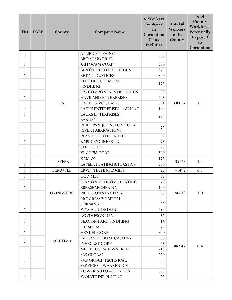| <b>TRI</b>   | <b>EGLE</b>  | County            | <b>Company Name</b>                                        | # Workers<br>Employed<br>in<br>Chromium<br>Using<br><b>Facilities</b> | Total #<br>Workers<br>in the<br>County | $%$ of<br>County<br>Workforce<br>Potentially<br><b>Exposed</b><br>to<br>Chromium |
|--------------|--------------|-------------------|------------------------------------------------------------|-----------------------------------------------------------------------|----------------------------------------|----------------------------------------------------------------------------------|
| 1            |              |                   | ALLIED FINISHING -                                         | 300                                                                   |                                        |                                                                                  |
|              |              |                   | <b>BROADMOOR SE</b>                                        |                                                                       |                                        |                                                                                  |
| $\mathbf{1}$ |              |                   | <b>AUTOCAM CORP</b>                                        | 300                                                                   |                                        |                                                                                  |
| $\mathbf{1}$ |              |                   | <b>BENTELER AUTO - HAGEN</b>                               | 375                                                                   |                                        |                                                                                  |
| $\mathbf{1}$ |              |                   | <b>BETZ INDUSTRIES</b>                                     | 300                                                                   |                                        |                                                                                  |
| $\mathbf{1}$ |              |                   | ELECTRO CHEMICAL<br><b>FINISHING</b>                       | 175                                                                   |                                        |                                                                                  |
| $\mathbf{1}$ |              |                   | <b>GM COMPONENTS HOLDINGS</b>                              | 500                                                                   |                                        |                                                                                  |
| $\mathbf{1}$ |              |                   | <b>HAVILAND ENTERPRISES</b>                                | 225                                                                   |                                        |                                                                                  |
| $\mathbf{1}$ |              | <b>KENT</b>       | <b>KNAPE &amp; VOGT MFG</b>                                | 591                                                                   | 330032                                 | 1.1                                                                              |
| $\mathbf{1}$ |              |                   | <b>LACKS ENTERPRISES - AIRLINE</b>                         | 166                                                                   |                                        |                                                                                  |
| $\mathbf{1}$ |              |                   | LACKS ENTERPRISES -<br><b>BARDEN</b>                       | 175                                                                   |                                        |                                                                                  |
| $\mathbf{1}$ |              |                   | PHILLIPS & JOHNSTON ROCK<br><b>RIVER FABRICATIONS</b>      | 75                                                                    |                                        |                                                                                  |
| $\mathbf{1}$ |              |                   | PLASTIC PLATE - KRAFT                                      | $\overline{7}$                                                        |                                        |                                                                                  |
| $\mathbf{1}$ |              |                   | RAPID ENGINEERING                                          | 75                                                                    |                                        |                                                                                  |
| $\mathbf{1}$ |              |                   | <b>STEELTECH</b>                                           | 70                                                                    |                                        |                                                                                  |
| $\mathbf{1}$ |              |                   | VI-CHEM CORP                                               | 300                                                                   |                                        |                                                                                  |
| $\mathbf{1}$ |              |                   | <b>KAMAX</b>                                               | 175                                                                   |                                        | 1.4                                                                              |
| $\mathbf{1}$ |              | <b>LAPEER</b>     | <b>LAPEER PLATING &amp; PLASTICS</b>                       | 300                                                                   | 35123                                  |                                                                                  |
| $\mathbf{1}$ |              | <b>LENAWEE</b>    | ERVIN TECHNOLOGIES                                         | 55                                                                    | 41492                                  | 0.1                                                                              |
| 1            | $\mathbf{1}$ |                   | <b>COR-MET</b>                                             | 35                                                                    |                                        |                                                                                  |
| $\mathbf{1}$ |              |                   | DIAMOND CHROME PLATING                                     | 75                                                                    |                                        |                                                                                  |
| 1            |              |                   | <b>EBERSPAECHER NA</b>                                     | 400                                                                   |                                        |                                                                                  |
| $\mathbf{1}$ |              | <b>LIVINGSTON</b> | PRECISION STAMPING                                         | 55                                                                    | 90819                                  | 1.0                                                                              |
| $\mathbf{1}$ |              |                   | PROGRESSIVE METAL<br><b>FORMING</b>                        | 35                                                                    |                                        |                                                                                  |
| $\mathbf{1}$ |              |                   | WYMAN-GORDON                                               | 294                                                                   |                                        |                                                                                  |
| $\mathbf{1}$ |              |                   | <b>AG SIMPSON USA</b>                                      | 35                                                                    |                                        |                                                                                  |
| 1            |              |                   | <b>BEACON PARK FINISHING</b>                               | 14                                                                    |                                        |                                                                                  |
| $\mathbf{1}$ |              |                   | <b>FRASER MFG</b>                                          | 75                                                                    |                                        |                                                                                  |
| 1            |              |                   | <b>HENKEL CORP</b>                                         | 300                                                                   |                                        |                                                                                  |
| $\mathbf{1}$ |              |                   | <b>INTERNATIONAL CASTING</b>                               | 55                                                                    |                                        |                                                                                  |
| 1            |              | <b>MACOMB</b>     | <b>INVECAST CORP</b>                                       | 25                                                                    | 386942                                 | 0.4                                                                              |
| $\mathbf{1}$ |              |                   | <b>MB AEROSPACE WARREN</b>                                 | 218                                                                   |                                        |                                                                                  |
| 1            |              |                   | <b>SAS GLOBAL</b>                                          | 250                                                                   |                                        |                                                                                  |
| $\mathbf{1}$ |              |                   | <b>SMS GROUP TECHNICAL</b><br><b>SERVICES - WARREN DIV</b> | 55                                                                    |                                        |                                                                                  |
| 1            |              |                   | <b>TOWER AUTO - CLINTON</b>                                | 375                                                                   |                                        |                                                                                  |
| $\mathbf{1}$ |              |                   | <b>WOLVERINE PLATING</b>                                   | 55                                                                    |                                        |                                                                                  |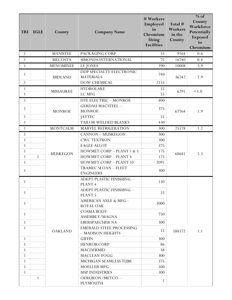| <b>TRI</b>   | <b>EGLE</b>  | County           | <b>Company Name</b>                                  | # Workers<br>Employed<br>in<br>Chromium<br>Using<br><b>Facilities</b> | Total #<br>Workers<br>in the<br>County | $%$ of<br>County<br>Workforce<br>Potentially<br><b>Exposed</b><br>to<br>Chromium |
|--------------|--------------|------------------|------------------------------------------------------|-----------------------------------------------------------------------|----------------------------------------|----------------------------------------------------------------------------------|
| 1            |              | <b>MANISTEE</b>  | PACKAGING CORP                                       | 55                                                                    | 9164                                   | 0.6                                                                              |
| $\mathbf{1}$ |              | <b>MECOSTA</b>   | SIMONDS INTERNATIONAL                                | 75                                                                    | 16740                                  | 0.4                                                                              |
| 1            |              | <b>MENOMINEE</b> | LE JONES                                             | 390                                                                   | 10008                                  | 3.9                                                                              |
| $\mathbf{1}$ |              | <b>MIDLAND</b>   | DDP SPECIALTY ELECTRONIC<br><b>MATERIALS</b>         | 740                                                                   | 36742                                  | 7.9                                                                              |
| $\mathbf{1}$ |              |                  | <b>DOW CHEMICAL</b>                                  | 2155                                                                  |                                        |                                                                                  |
| $\mathbf{1}$ |              | <b>MISSAUKEE</b> | <b>HYDROLAKE</b>                                     | 55                                                                    | 6291                                   | < 1.0                                                                            |
| $\mathbf{1}$ |              |                  | <b>LC MFG</b>                                        | 55                                                                    |                                        |                                                                                  |
| 1            |              |                  | DTE ELECTRIC - MONROE                                | 400                                                                   |                                        |                                                                                  |
| $\mathbf{1}$ |              | <b>MONROE</b>    | <b>GERDAU MACSTEEL -</b><br><b>MONROE</b>            | 375                                                                   | 67764                                  | 1.9                                                                              |
| $\mathbf{1}$ |              |                  | <b>JAYTEC</b>                                        | 55                                                                    |                                        |                                                                                  |
| $\mathbf{1}$ |              |                  | TAILOR WELDED BLANKS                                 | 430                                                                   |                                        |                                                                                  |
| $\mathbf{1}$ |              | <b>MONTCALM</b>  | MARVEL REFRIGERATION                                 | 300                                                                   | 25578                                  | 1.2                                                                              |
| 1            |              |                  | <b>CANNON - MUSKEGON</b>                             | 300                                                                   |                                        |                                                                                  |
| $\mathbf{1}$ |              |                  | <b>CWC TEXTRON</b>                                   | 300                                                                   |                                        |                                                                                  |
| $\mathbf{1}$ |              |                  | <b>EAGLE ALLOY</b>                                   | 375                                                                   |                                        |                                                                                  |
| $\mathbf{1}$ |              | <b>MUSKEGON</b>  | HOWMET CORP - PLANT 1 & 3                            | 175                                                                   | 68681                                  | 5.3                                                                              |
| $\mathbf{1}$ | $\mathbf{1}$ |                  | <b>HOWMET CORP - PLANT 4</b>                         | 125                                                                   |                                        |                                                                                  |
| $\mathbf{1}$ |              |                  | <b>HOWMET CORP - PLANT 10</b>                        | 2091                                                                  |                                        |                                                                                  |
| $\mathbf{1}$ |              |                  | TRAMEC SLOAN - FLEET<br><b>ENGINEERS</b>             | 300                                                                   |                                        |                                                                                  |
| 1            |              |                  | ADEPT PLASTIC FINISHING -<br>PLANT <sub>4</sub>      | 150                                                                   |                                        |                                                                                  |
| 1            |              |                  | ADEPT PLASTIC FINISHING -<br><b>PLANT 5</b>          | 55                                                                    |                                        |                                                                                  |
| 1            |              |                  | AMERICAN AXLE & MFG -<br>ROYAL OAK                   | 3000                                                                  |                                        |                                                                                  |
| 1            |              |                  | <b>COSMA BODY</b><br>ASSEMBLY/MAGNA                  | 750                                                                   |                                        |                                                                                  |
| $\mathbf{1}$ |              |                  | <b>EBERSPAECHER NA</b>                               | 300                                                                   |                                        |                                                                                  |
| $\mathbf{1}$ |              | <b>OAKLAND</b>   | <b>EMERALD STEEL PROCESSING</b><br>- MADISON HEIGHTS | 55                                                                    | 588572                                 | 1.1                                                                              |
| 1            |              |                  | <b>GIFFIN</b>                                        | 300                                                                   |                                        |                                                                                  |
| $\mathbf{1}$ |              |                  | <b>HENROB CORP</b>                                   | 86                                                                    |                                        |                                                                                  |
| 1            |              |                  | <b>MACDERMID</b>                                     | 38                                                                    |                                        |                                                                                  |
| 1            |              |                  | MACLEAN-FOGG                                         | 300                                                                   |                                        |                                                                                  |
| 1            |              |                  | MICHIGAN SEAMLESS TUBE                               | 375                                                                   |                                        |                                                                                  |
| 1            |              |                  | <b>MOELLER MFG</b>                                   | 500                                                                   |                                        |                                                                                  |
| 1            |              |                  | <b>MSP INDUSTRIES</b>                                | 300                                                                   |                                        |                                                                                  |
|              | $\mathbf{1}$ |                  | OERLIKON/METCO-<br><b>PLYMOUTH</b>                   | 1                                                                     |                                        |                                                                                  |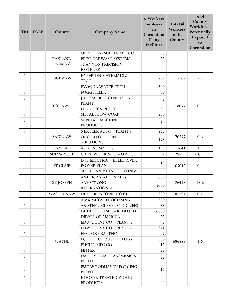| <b>TRI</b>   | <b>EGLE</b>  | County            | <b>Company Name</b>                              | # Workers<br>Employed<br>in<br>Chromium<br>Using<br><b>Facilities</b> | Total #<br>Workers<br>in the<br>County | $%$ of<br>County<br>Workforce<br>Potentially<br>Exposed<br>to<br>Chromium |
|--------------|--------------|-------------------|--------------------------------------------------|-----------------------------------------------------------------------|----------------------------------------|---------------------------------------------------------------------------|
| 1            | $\mathbf{1}$ |                   | OERLIKON/SULZER METCO                            | 55                                                                    |                                        |                                                                           |
| $\mathbf{1}$ |              | OAKLAND,          | PECO CARWASH SYSTEMS                             | 55                                                                    |                                        |                                                                           |
| $\mathbf{1}$ |              | continued         | <b>SHANNON PRECISION</b><br><b>FASTENER</b>      | 55                                                                    |                                        |                                                                           |
| $\mathbf{1}$ |              | OGEMAW            | <b>HYPERION MATERIALS &amp;</b><br><b>TECH</b>   | 202                                                                   | 7167                                   | 2.8                                                                       |
| $\mathbf{1}$ |              |                   | <b>EVOQUA WATER TECH</b>                         | 300                                                                   |                                        |                                                                           |
| $\mathbf{1}$ |              |                   | <b>FOGG FILLER</b>                               | 75                                                                    |                                        |                                                                           |
| 1            |              | <b>OTTAWA</b>     | <b>JH CAMPBELL GENERATING</b><br><b>PLANT</b>    | 5                                                                     | 148077                                 | 0.5                                                                       |
| $\mathbf{1}$ |              |                   | <b>LEGGETT &amp; PLATT</b>                       | 35                                                                    |                                        |                                                                           |
| $\mathbf{1}$ |              |                   | <b>METAL FLOW CORP</b>                           | 230                                                                   |                                        |                                                                           |
| 1            |              |                   | <b>SUPREME MACHINED</b><br><b>PRODUCTS</b>       | 40                                                                    |                                        |                                                                           |
| $\mathbf{1}$ |              |                   | <b>NEXTEER AUTO - PLANT 1</b>                    | 252                                                                   | 76397                                  |                                                                           |
| $\mathbf{1}$ |              | <b>SAGINAW</b>    | ORCHID ORTHOPEDIC<br><b>SOLUTIONS</b>            | 175                                                                   |                                        | 0.6                                                                       |
| $\mathbf{1}$ |              | <b>SANILAC</b>    | <b>ASCO NUMATICS</b>                             | 195                                                                   | 17641                                  | 1.1                                                                       |
| $\mathbf{1}$ |              | <b>SHIAWASSEE</b> | CIE NEWCOR MTG - OWOSSO                          | $\overline{2}$                                                        | 29839                                  | < 0.1                                                                     |
| $\mathbf{1}$ |              | <b>ST CLAIR</b>   | DTE ELECTRIC - BELLE RIVER<br><b>POWER PLANT</b> | 10                                                                    | 65042                                  | 0.1                                                                       |
| $\mathbf{1}$ |              |                   | MICHIGAN METAL COATINGS                          | 55                                                                    |                                        |                                                                           |
| $\mathbf{1}$ |              |                   | <b>AMERICAN AXLE &amp; MFG</b>                   | 600                                                                   |                                        |                                                                           |
| $\mathbf{1}$ |              | <b>ST JOSEPH</b>  | <b>ARMSTRONG</b><br><b>INTERNATIONAL</b>         | 3000                                                                  | 26418                                  | 13.6                                                                      |
| $\mathbf{1}$ |              | <b>WASHTENAW</b>  | DEXTER FASTENER TECH                             | 300                                                                   | 181294                                 | 0.2                                                                       |
| 1            |              |                   | AJAX METAL PROCESSING                            | 300                                                                   |                                        |                                                                           |
| 1            |              |                   | AK STEEL (CLEVELAND CLIFFS)                      | 55                                                                    |                                        |                                                                           |
| $\mathbf{1}$ |              |                   | DETROIT DIESEL - REDFORD                         | 6660                                                                  |                                        |                                                                           |
| 1            |              |                   | <b>DIPSOL OF AMERICA</b>                         | 55                                                                    |                                        |                                                                           |
| 1            |              |                   | <b>EDW C LEVY CO - PLANT 3</b>                   |                                                                       |                                        |                                                                           |
| 1            |              |                   | <b>EDW C LEVY CO - PLANT 6</b>                   | 371                                                                   |                                        |                                                                           |
| $\mathbf{1}$ |              |                   | <b>EES COKE BATTERY</b>                          | $\overline{7}$                                                        |                                        |                                                                           |
| 1            |              | <b>WAYNE</b>      | EQ DETROIT/US ECOLOGY                            | 300                                                                   | 686888                                 | 1.6                                                                       |
| 1            |              |                   | <b>EUCLID MFG CO</b>                             | 12                                                                    |                                        |                                                                           |
| 1            |              |                   | <b>FINTEX</b>                                    | 55                                                                    |                                        |                                                                           |
| 1            |              |                   | FMC LIVONIA TRANSMISSION<br><b>PLANT</b>         | 55                                                                    |                                        |                                                                           |
| 1            |              |                   | FMC WOODHAVEN FORGING<br><b>PLANT</b>            | 16                                                                    |                                        |                                                                           |
| $\mathbf{1}$ |              |                   | HOOVER TREATED WOOD<br><b>PRODUCTS</b>           | 55                                                                    |                                        |                                                                           |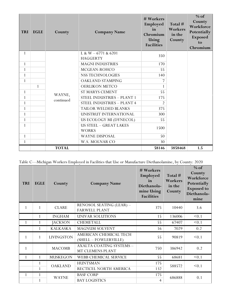| <b>TRI</b>   | <b>EGLE</b> | County       | <b>Company Name</b>                     | # Workers<br>Employed<br>in<br>Chromium<br>Using<br><b>Facilities</b> | Total #<br>Workers<br>in the<br>County | $%$ of<br>County<br>Workforce<br>Potentially<br><b>Exposed</b><br>to<br>Chromium |
|--------------|-------------|--------------|-----------------------------------------|-----------------------------------------------------------------------|----------------------------------------|----------------------------------------------------------------------------------|
| 1            |             |              | L & W $-6771$ & 6201<br><b>HAGGERTY</b> | 350                                                                   |                                        |                                                                                  |
| $\mathbf{1}$ |             |              | <b>MAGNI INDUSTRIES</b>                 | 170                                                                   |                                        |                                                                                  |
| $\mathbf{1}$ |             |              | MCGEAN-ROHCO                            | 55                                                                    |                                        |                                                                                  |
| $\mathbf{1}$ |             |              | NSS TECHNOLOGIES                        | 140                                                                   |                                        |                                                                                  |
| $\mathbf{1}$ |             |              | OAKLAND STAMPING                        | 7                                                                     |                                        |                                                                                  |
|              | 1           |              | <b>OERLIKON METCO</b>                   |                                                                       |                                        |                                                                                  |
| $\mathbf{1}$ |             | WAYNE,       | <b>ST MARYS CEMENT</b>                  | 55                                                                    |                                        |                                                                                  |
| $\mathbf{1}$ |             | continued    | STEEL INDUSTRIES - PLANT 1              | 175                                                                   |                                        |                                                                                  |
| $\mathbf{1}$ |             |              | <b>STEEL INDUSTRIES - PLANT 4</b>       | $\mathfrak{D}$                                                        |                                        |                                                                                  |
| $\mathbf{1}$ |             |              | TAILOR WELDED BLANKS                    | 375                                                                   |                                        |                                                                                  |
| $\mathbf{1}$ |             |              | UNISTRUT INTERNATIONAL                  | 300                                                                   |                                        |                                                                                  |
| $\mathbf{1}$ |             |              | US ECOLOGY MI (DYNECOL)                 | 55                                                                    |                                        |                                                                                  |
| $\mathbf{1}$ |             |              | US STEEL - GREAT LAKES<br><b>WORKS</b>  | 1500                                                                  |                                        |                                                                                  |
| $\mathbf{1}$ |             |              | <b>WAYNE DISPOSAL</b>                   | 50                                                                    |                                        |                                                                                  |
| $\mathbf{1}$ |             |              | W.S. MOLNAR CO                          | 30                                                                    |                                        |                                                                                  |
|              |             | <b>TOTAL</b> |                                         | 58146                                                                 | 3858468                                | 1.5                                                                              |

Table C—Michigan Workers Employed in Facilities that Use or Manufacture Diethanolamine, by County: 2020

| <b>TRI</b>   | <b>EGLE</b>  | County            | <b>Company Name</b>                              | # Workers<br>Employed<br>in<br>Diethanola-<br>mine Using<br><b>Facilities</b> | Total #<br>Workers<br>in the<br>County | $%$ of<br>County<br>Workforce<br>Potentially<br><b>Exposed</b> to<br>Diethanola-<br>mine |
|--------------|--------------|-------------------|--------------------------------------------------|-------------------------------------------------------------------------------|----------------------------------------|------------------------------------------------------------------------------------------|
| $\mathbf{1}$ | $\mathbf{1}$ | <b>CLARE</b>      | RENOSOL SEATING (LEAR) -<br><b>FARWELL PLANT</b> | 375                                                                           | 10440                                  | 3.6                                                                                      |
|              | 1            | <b>INGHAM</b>     | UNIVAR SOLUTIONS                                 | 15                                                                            | 136006                                 | < 0.1                                                                                    |
| $\mathbf{1}$ |              | <b>JACKSON</b>    | <b>CHEMETALL</b>                                 | 55                                                                            | 67407                                  | < 0.1                                                                                    |
|              | 1            | <b>KALKASKA</b>   | MAGNUM SOLVENT                                   | 16                                                                            | 7029                                   | 0.2                                                                                      |
| $\mathbf{1}$ | 1            | <b>LIVINGSTON</b> | AMERICAN CHEMICAL TECH<br>(SHELL - FOWLERVILLE)  | 55                                                                            | 90819                                  | < 0.1                                                                                    |
| 1            |              | <b>MACOMB</b>     | AXALTA COATING SYSTEMS -<br>MT CLEMENS PLANT     | 750                                                                           | 386942                                 | 0.2                                                                                      |
| $\mathbf{1}$ |              | <b>MUSKEGON</b>   | WEBB CHEMICAL SERVICE                            | 55                                                                            | 68681                                  | < 0.1                                                                                    |
|              | 1            | <b>OAKLAND</b>    | <b>HUNTSMAN</b>                                  | 175                                                                           | 588572                                 | < 0.1                                                                                    |
|              |              |                   | RECTICEL NORTH AMERICA                           | 132                                                                           |                                        |                                                                                          |
| $\mathbf{1}$ | $\mathbf{1}$ | <b>WAYNE</b>      | <b>BASF CORP</b>                                 | 175                                                                           | 686888                                 | 0.1                                                                                      |
|              | $\mathbf{1}$ |                   | <b>BAY LOGISTICS</b>                             | $\overline{4}$                                                                |                                        |                                                                                          |